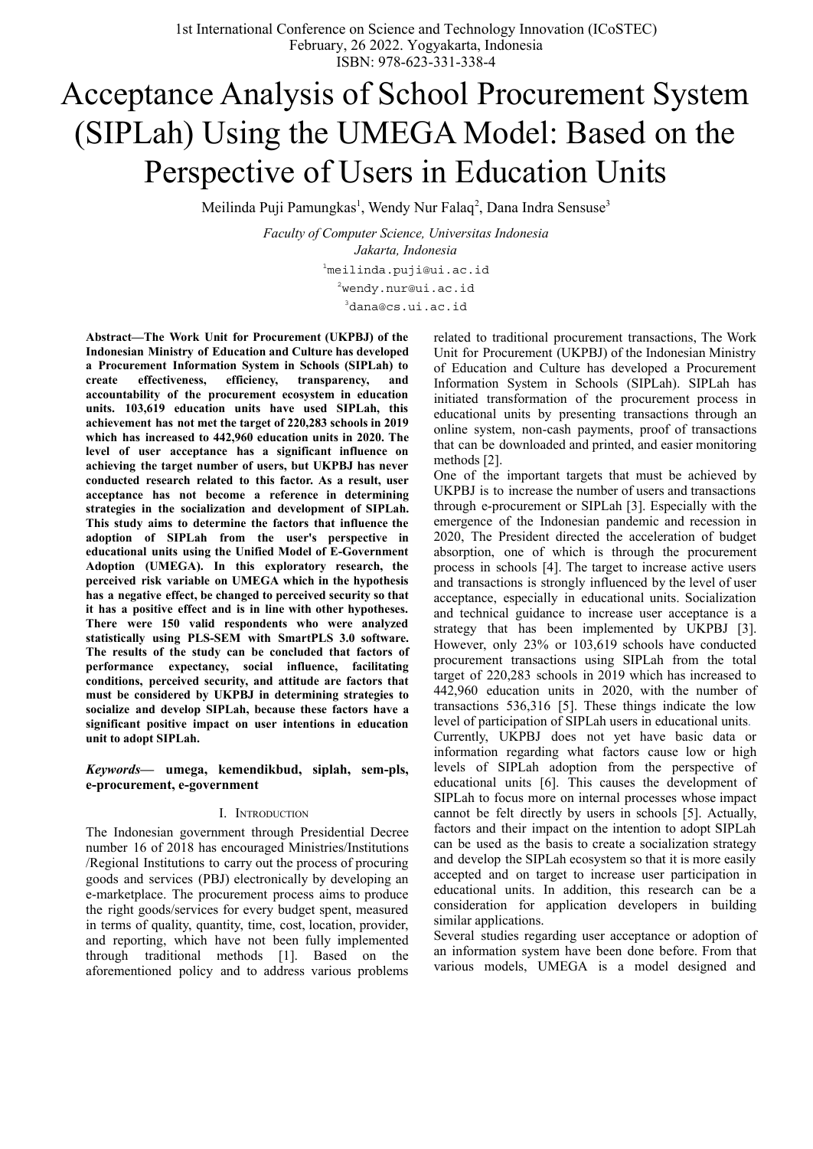# Acceptance Analysis of School Procurement System (SIPLah) Using the UMEGA Model: Based on the Perspective of Users in Education Units

Meilinda Puji Pamungkas<sup>1</sup>, Wendy Nur Falaq<sup>2</sup>, Dana Indra Sensuse<sup>3</sup>

*Faculty of Computer Science, Universitas Indonesia Jakarta, Indonesia* <sup>1</sup>meilinda.puji@ui.ac.id <sup>2</sup>wendy.nur@ui.ac.id <sup>3</sup>dana@cs.ui.ac.id

**Abstract—The Work Unit for Procurement (UKPBJ) of the Indonesian Ministry of Education and Culture has developed a Procurement Information System in Schools (SIPLah) to create effectiveness, efficiency, transparency, and accountability of the procurement ecosystem in education units. 103,619 education units have used SIPLah, this achievement has not met the target of 220,283 schools in 2019 which has increased to 442,960 education units in 2020. The level of user acceptance has a significant influence on achieving the target number of users, but UKPBJ has never conducted research related to this factor. As a result, user acceptance has not become a reference in determining strategies in the socialization and development of SIPLah. This study aims to determine the factors that influence the adoption of SIPLah from the user's perspective in educational units using the Unified Model of E-Government Adoption (UMEGA). In this exploratory research, the perceived risk variable on UMEGA which in the hypothesis has a negative effect, be changed to perceived security so that it has a positive effect and is in line with other hypotheses. There were 150 valid respondents who were analyzed statistically using PLS-SEM with SmartPLS 3.0 software. The results of the study can be concluded that factors of performance expectancy, social influence, facilitating conditions, perceived security, and attitude are factors that must be considered by UKPBJ in determining strategies to socialize and develop SIPLah, because these factors have a significant positive impact on user intentions in education unit to adopt SIPLah.**

*Keywords***— umega, kemendikbud, siplah, sem-pls, e-procurement, e-government**

#### I. INTRODUCTION

The Indonesian government through Presidential Decree number 16 of 2018 has encouraged Ministries/Institutions /Regional Institutions to carry out the process of procuring goods and services (PBJ) electronically by developing an e-marketplace. The procurement process aims to produce the right goods/services for every budget spent, measured in terms of quality, quantity, time, cost, location, provider, and reporting, which have not been fully implemented through traditional methods [1]. Based on the aforementioned policy and to address various problems related to traditional procurement transactions, The Work Unit for Procurement (UKPBJ) of the Indonesian Ministry of Education and Culture has developed a Procurement Information System in Schools (SIPLah). SIPLah has initiated transformation of the procurement process in educational units by presenting transactions through an online system, non-cash payments, proof of transactions that can be downloaded and printed, and easier monitoring methods [2].

One of the important targets that must be achieved by UKPBJ is to increase the number of users and transactions through e-procurement or SIPLah [3]. Especially with the emergence of the Indonesian pandemic and recession in 2020, The President directed the acceleration of budget absorption, one of which is through the procurement process in schools [4]. The target to increase active users and transactions is strongly influenced by the level of user acceptance, especially in educational units. Socialization and technical guidance to increase user acceptance is a strategy that has been implemented by UKPBJ [3]. However, only 23% or 103,619 schools have conducted procurement transactions using SIPLah from the total target of 220,283 schools in 2019 which has increased to 442,960 education units in 2020, with the number of transactions 536,316 [5]. These things indicate the low level of participation of SIPLah users in educational units. Currently, UKPBJ does not yet have basic data or information regarding what factors cause low or high levels of SIPLah adoption from the perspective of educational units [6]. This causes the development of SIPLah to focus more on internal processes whose impact cannot be felt directly by users in schools [5]. Actually, factors and their impact on the intention to adopt SIPLah can be used as the basis to create a socialization strategy and develop the SIPLah ecosystem so that it is more easily accepted and on target to increase user participation in educational units. In addition, this research can be a consideration for application developers in building similar applications.

Several studies regarding user acceptance or adoption of an information system have been done before. From that various models, UMEGA is a model designed and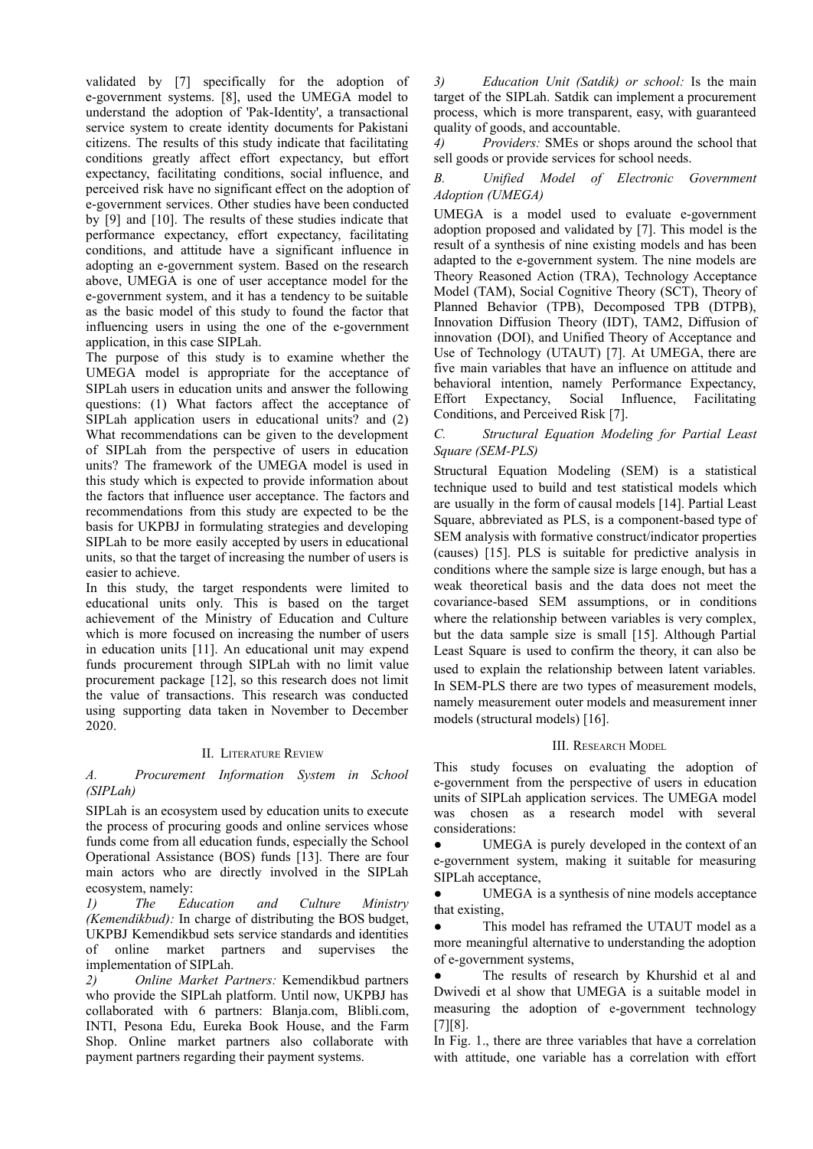validated by [7] specifically for the adoption of e-government systems. [8], used the UMEGA model to understand the adoption of 'Pak-Identity', a transactional service system to create identity documents for Pakistani citizens. The results of this study indicate that facilitating conditions greatly affect effort expectancy, but effort expectancy, facilitating conditions, social influence, and perceived risk have no significant effect on the adoption of e-government services. Other studies have been conducted by [9] and [10]. The results of these studies indicate that performance expectancy, effort expectancy, facilitating conditions, and attitude have a significant influence in adopting an e-government system. Based on the research above, UMEGA is one of user acceptance model for the e-government system, and it has a tendency to be suitable as the basic model of this study to found the factor that influencing users in using the one of the e-government application, in this case SIPLah.

The purpose of this study is to examine whether the UMEGA model is appropriate for the acceptance of SIPLah users in education units and answer the following questions: (1) What factors affect the acceptance of SIPLah application users in educational units? and (2) What recommendations can be given to the development of SIPLah from the perspective of users in education units? The framework of the UMEGA model is used in this study which is expected to provide information about the factors that influence user acceptance. The factors and recommendations from this study are expected to be the basis for UKPBJ in formulating strategies and developing SIPLah to be more easily accepted by users in educational units, so that the target of increasing the number of users is easier to achieve.

In this study, the target respondents were limited to educational units only. This is based on the target achievement of the Ministry of Education and Culture which is more focused on increasing the number of users in education units [11]. An educational unit may expend funds procurement through SIPLah with no limit value procurement package [12], so this research does not limit the value of transactions. This research was conducted using supporting data taken in November to December 2020.

#### II. LITERATURE REVIEW

*A. Procurement Information System in School (SIPLah)*

SIPLah is an ecosystem used by education units to execute the process of procuring goods and online services whose funds come from all education funds, especially the School Operational Assistance (BOS) funds [13]. There are four main actors who are directly involved in the SIPLah ecosystem, namely:

*1) The Education and Culture Ministry (Kemendikbud):* In charge of distributing the BOS budget, UKPBJ Kemendikbud sets service standards and identities of online market partners and supervises the implementation of SIPLah.

*2) Online Market Partners:* Kemendikbud partners who provide the SIPLah platform. Until now, UKPBJ has collaborated with 6 partners: Blanja.com, Blibli.com, INTI, Pesona Edu, Eureka Book House, and the Farm Shop. Online market partners also collaborate with payment partners regarding their payment systems.

*3) Education Unit (Satdik) or school:* Is the main target of the SIPLah. Satdik can implement a procurement process, which is more transparent, easy, with guaranteed quality of goods, and accountable.

*4) Providers:* SMEs or shops around the school that sell goods or provide services for school needs.

## *B. Unified Model of Electronic Government Adoption (UMEGA)*

UMEGA is a model used to evaluate e-government adoption proposed and validated by [7]. This model is the result of a synthesis of nine existing models and has been adapted to the e-government system. The nine models are Theory Reasoned Action (TRA), Technology Acceptance Model (TAM), Social Cognitive Theory (SCT), Theory of Planned Behavior (TPB), Decomposed TPB (DTPB), Innovation Diffusion Theory (IDT), TAM2, Diffusion of innovation (DOI), and Unified Theory of Acceptance and Use of Technology (UTAUT) [7]. At UMEGA, there are five main variables that have an influence on attitude and behavioral intention, namely Performance Expectancy,<br>Effort Expectancy, Social Influence, Facilitating Social Influence, Facilitating Conditions, and Perceived Risk [7].

# *C. Structural Equation Modeling for Partial Least Square (SEM-PLS)*

Structural Equation Modeling (SEM) is a statistical technique used to build and test statistical models which are usually in the form of causal models [14]. Partial Least Square, abbreviated as PLS, is a component-based type of SEM analysis with formative construct/indicator properties (causes) [15]. PLS is suitable for predictive analysis in conditions where the sample size is large enough, but has a weak theoretical basis and the data does not meet the covariance-based SEM assumptions, or in conditions where the relationship between variables is very complex, but the data sample size is small [15]. Although Partial Least Square is used to confirm the theory, it can also be used to explain the relationship between latent variables. In SEM-PLS there are two types of measurement models, namely measurement outer models and measurement inner models (structural models) [16].

# III. RESEARCH MODEL

This study focuses on evaluating the adoption of e-government from the perspective of users in education units of SIPLah application services. The UMEGA model was chosen as a research model with several considerations:

UMEGA is purely developed in the context of an e-government system, making it suitable for measuring SIPLah acceptance,

• UMEGA is a synthesis of nine models acceptance that existing,

This model has reframed the UTAUT model as a more meaningful alternative to understanding the adoption of e-government systems,

The results of research by Khurshid et al and Dwivedi et al show that UMEGA is a suitable model in measuring the adoption of e-government technology [7][8].

In Fig. 1., there are three variables that have a correlation with attitude, one variable has a correlation with effort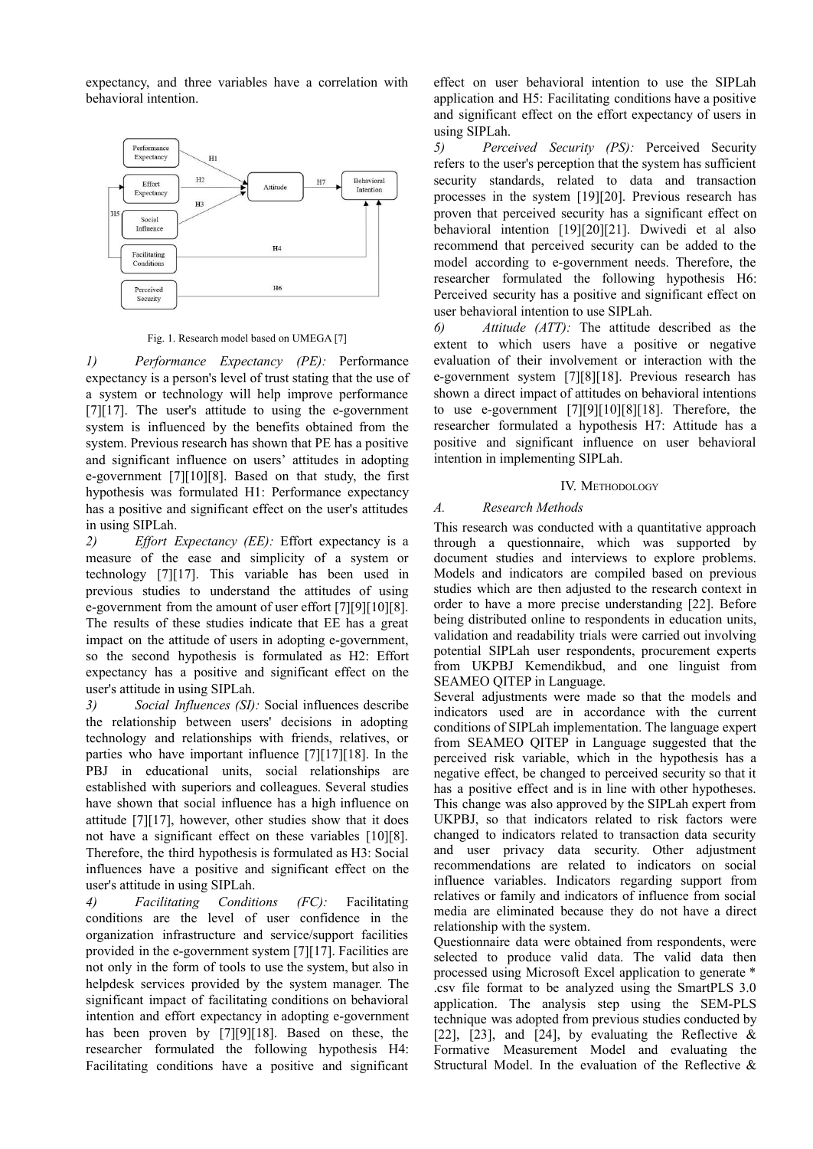expectancy, and three variables have a correlation with behavioral intention.



Fig. 1. Research model based on UMEGA [7]

*1) Performance Expectancy (PE):* Performance expectancy is a person's level of trust stating that the use of a system or technology will help improve performance [7][17]. The user's attitude to using the e-government system is influenced by the benefits obtained from the system. Previous research has shown that PE has a positive and significant influence on users' attitudes in adopting e-government [7][10][8]. Based on that study, the first hypothesis was formulated H1: Performance expectancy has a positive and significant effect on the user's attitudes in using SIPLah.

*2) Ef ort Expectancy (EE):* Effort expectancy is a measure of the ease and simplicity of a system or technology [7][17]. This variable has been used in previous studies to understand the attitudes of using e-government from the amount of user effort [7][9][10][8]. The results of these studies indicate that EE has a great impact on the attitude of users in adopting e-government, so the second hypothesis is formulated as H2: Effort expectancy has a positive and significant effect on the user's attitude in using SIPLah.

*3) Social Influences (SI):* Social influences describe the relationship between users' decisions in adopting technology and relationships with friends, relatives, or parties who have important influence [7][17][18]. In the PBJ in educational units, social relationships are established with superiors and colleagues. Several studies have shown that social influence has a high influence on attitude [7][17], however, other studies show that it does not have a significant effect on these variables [10][8]. Therefore, the third hypothesis is formulated as H3: Social influences have a positive and significant effect on the user's attitude in using SIPLah.

*4) Facilitating Conditions (FC):* Facilitating conditions are the level of user confidence in the organization infrastructure and service/support facilities provided in the e-government system [7][17]. Facilities are not only in the form of tools to use the system, but also in helpdesk services provided by the system manager. The significant impact of facilitating conditions on behavioral intention and effort expectancy in adopting e-government has been proven by [7][9][18]. Based on these, the researcher formulated the following hypothesis H4: Facilitating conditions have a positive and significant

effect on user behavioral intention to use the SIPLah application and H5: Facilitating conditions have a positive and significant effect on the effort expectancy of users in using SIPLah.

*5) Perceived Security (PS):* Perceived Security refers to the user's perception that the system has sufficient security standards, related to data and transaction processes in the system [19][20]. Previous research has proven that perceived security has a significant effect on behavioral intention [19][20][21]. Dwivedi et al also recommend that perceived security can be added to the model according to e-government needs. Therefore, the researcher formulated the following hypothesis H6: Perceived security has a positive and significant effect on user behavioral intention to use SIPLah.

*6) Attitude (ATT):* The attitude described as the extent to which users have a positive or negative evaluation of their involvement or interaction with the e-government system [7][8][18]. Previous research has shown a direct impact of attitudes on behavioral intentions to use e-government [7][9][10][8][18]. Therefore, the researcher formulated a hypothesis H7: Attitude has a positive and significant influence on user behavioral intention in implementing SIPLah.

# IV. METHODOLOGY

# *A. Research Methods*

This research was conducted with a quantitative approach through a questionnaire, which was supported by document studies and interviews to explore problems. Models and indicators are compiled based on previous studies which are then adjusted to the research context in order to have a more precise understanding [22]. Before being distributed online to respondents in education units, validation and readability trials were carried out involving potential SIPLah user respondents, procurement experts from UKPBJ Kemendikbud, and one linguist from SEAMEO QITEP in Language.

Several adjustments were made so that the models and indicators used are in accordance with the current conditions of SIPLah implementation. The language expert from SEAMEO QITEP in Language suggested that the perceived risk variable, which in the hypothesis has a negative effect, be changed to perceived security so that it has a positive effect and is in line with other hypotheses. This change was also approved by the SIPLah expert from UKPBJ, so that indicators related to risk factors were changed to indicators related to transaction data security and user privacy data security. Other adjustment recommendations are related to indicators on social influence variables. Indicators regarding support from relatives or family and indicators of influence from social media are eliminated because they do not have a direct relationship with the system.

Questionnaire data were obtained from respondents, were selected to produce valid data. The valid data then processed using Microsoft Excel application to generate \* .csv file format to be analyzed using the SmartPLS 3.0 application. The analysis step using the SEM-PLS technique was adopted from previous studies conducted by [22], [23], and [24], by evaluating the Reflective  $\&$ Formative Measurement Model and evaluating the Structural Model. In the evaluation of the Reflective &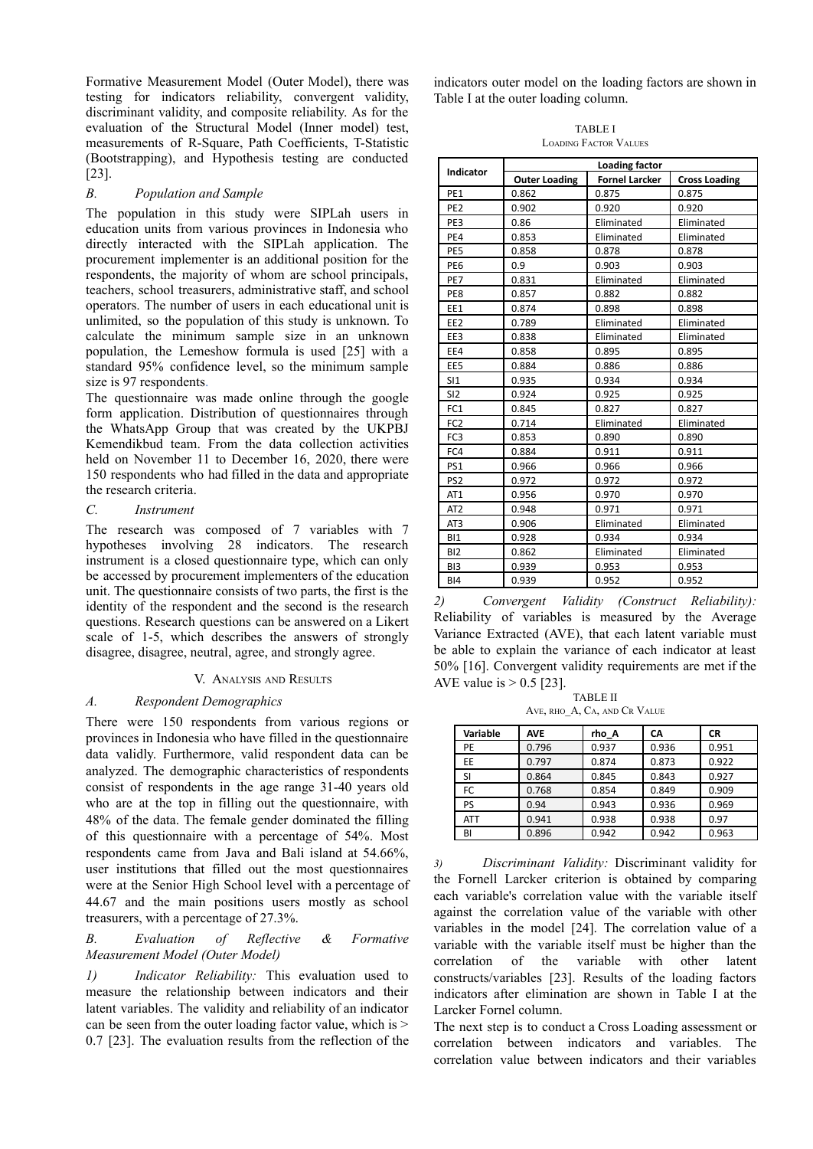Formative Measurement Model (Outer Model), there was testing for indicators reliability, convergent validity, discriminant validity, and composite reliability. As for the evaluation of the Structural Model (Inner model) test, measurements of R-Square, Path Coefficients, T-Statistic (Bootstrapping), and Hypothesis testing are conducted [23].

## *B. Population and Sample*

The population in this study were SIPLah users in education units from various provinces in Indonesia who directly interacted with the SIPLah application. The procurement implementer is an additional position for the respondents, the majority of whom are school principals, teachers, school treasurers, administrative staff, and school operators. The number of users in each educational unit is unlimited, so the population of this study is unknown. To calculate the minimum sample size in an unknown population, the Lemeshow formula is used [25] with a standard 95% confidence level, so the minimum sample size is 97 respondents.

The questionnaire was made online through the google form application. Distribution of questionnaires through the WhatsApp Group that was created by the UKPBJ Kemendikbud team. From the data collection activities held on November 11 to December 16, 2020, there were 150 respondents who had filled in the data and appropriate the research criteria.

#### *C. Instrument*

The research was composed of 7 variables with 7 hypotheses involving 28 indicators. The research instrument is a closed questionnaire type, which can only be accessed by procurement implementers of the education unit. The questionnaire consists of two parts, the first is the identity of the respondent and the second is the research questions. Research questions can be answered on a Likert scale of 1-5, which describes the answers of strongly disagree, disagree, neutral, agree, and strongly agree.

#### V. ANALYSIS AND RESULTS

#### *A. Respondent Demographics*

There were 150 respondents from various regions or provinces in Indonesia who have filled in the questionnaire data validly. Furthermore, valid respondent data can be analyzed. The demographic characteristics of respondents consist of respondents in the age range 31-40 years old who are at the top in filling out the questionnaire, with 48% of the data. The female gender dominated the filling of this questionnaire with a percentage of 54%. Most respondents came from Java and Bali island at 54.66%, user institutions that filled out the most questionnaires were at the Senior High School level with a percentage of 44.67 and the main positions users mostly as school treasurers, with a percentage of 27.3%.

### *B. Evaluation of Reflective & Formative Measurement Model (Outer Model)*

*1) Indicator Reliability:* This evaluation used to measure the relationship between indicators and their latent variables. The validity and reliability of an indicator can be seen from the outer loading factor value, which is > 0.7 [23]. The evaluation results from the reflection of the

indicators outer model on the loading factors are shown in Table I at the outer loading column.

TABLE I LOADING FACTOR VALUES

|                 | Loading factor       |                       |                      |  |  |
|-----------------|----------------------|-----------------------|----------------------|--|--|
| Indicator       | <b>Outer Loading</b> | <b>Fornel Larcker</b> | <b>Cross Loading</b> |  |  |
| PE <sub>1</sub> | 0.862                | 0.875                 | 0.875                |  |  |
| PE <sub>2</sub> | 0.902                | 0.920                 | 0.920                |  |  |
| PE3             | 0.86                 | Eliminated            | Eliminated           |  |  |
| PE4             | 0.853                | Eliminated            | Eliminated           |  |  |
| PE5             | 0.858                | 0.878                 | 0.878                |  |  |
| PE <sub>6</sub> | 0.9                  | 0.903                 | 0.903                |  |  |
| PE7             | 0.831                | Eliminated            | Eliminated           |  |  |
| PE8             | 0.857                | 0.882                 | 0.882                |  |  |
| EE1             | 0.874                | 0.898                 | 0.898                |  |  |
| EE <sub>2</sub> | 0.789                | Eliminated            | Eliminated           |  |  |
| EE3             | 0.838                | Eliminated            | Eliminated           |  |  |
| EE4             | 0.858                | 0.895                 | 0.895                |  |  |
| EE <sub>5</sub> | 0.884                | 0.886                 | 0.886                |  |  |
| SI1             | 0.935                | 0.934                 | 0.934                |  |  |
| SI <sub>2</sub> | 0.924                | 0.925                 | 0.925                |  |  |
| FC <sub>1</sub> | 0.845                | 0.827                 | 0.827                |  |  |
| FC <sub>2</sub> | 0.714                | Eliminated            | Eliminated           |  |  |
| FC3             | 0.853                | 0.890                 | 0.890                |  |  |
| FC4             | 0.884                | 0.911                 | 0.911                |  |  |
| PS1             | 0.966                | 0.966                 | 0.966                |  |  |
| PS <sub>2</sub> | 0.972                | 0.972                 | 0.972                |  |  |
| AT <sub>1</sub> | 0.956                | 0.970                 | 0.970                |  |  |
| AT <sub>2</sub> | 0.948                | 0.971                 | 0.971                |  |  |
| AT <sub>3</sub> | 0.906                | Eliminated            | Eliminated           |  |  |
| B11             | 0.928                | 0.934                 | 0.934                |  |  |
| B <sub>12</sub> | 0.862                | Eliminated            | Eliminated           |  |  |
| BI3             | 0.939                | 0.953                 | 0.953                |  |  |
| B <sub>14</sub> | 0.939                | 0.952                 | 0.952                |  |  |

*2) Convergent Validity (Construct Reliability):* Reliability of variables is measured by the Average Variance Extracted (AVE), that each latent variable must be able to explain the variance of each indicator at least 50% [16]. Convergent validity requirements are met if the AVE value is  $> 0.5$  [23].

TABLE II AVE, RHO\_A, CA, AND CR VALUE

| Variable   | <b>AVE</b> | rho A | CΑ    | <b>CR</b> |
|------------|------------|-------|-------|-----------|
| PE         | 0.796      | 0.937 | 0.936 | 0.951     |
| EE.        | 0.797      | 0.874 | 0.873 | 0.922     |
| <b>SI</b>  | 0.864      | 0.845 | 0.843 | 0.927     |
| FC         | 0.768      | 0.854 | 0.849 | 0.909     |
| PS         | 0.94       | 0.943 | 0.936 | 0.969     |
| <b>ATT</b> | 0.941      | 0.938 | 0.938 | 0.97      |
| BI         | 0.896      | 0.942 | 0.942 | 0.963     |

*3) Discriminant Validity:* Discriminant validity for the Fornell Larcker criterion is obtained by comparing each variable's correlation value with the variable itself against the correlation value of the variable with other variables in the model [24]. The correlation value of a variable with the variable itself must be higher than the correlation of the variable with other latent constructs/variables [23]. Results of the loading factors indicators after elimination are shown in Table I at the Larcker Fornel column.

The next step is to conduct a Cross Loading assessment or correlation between indicators and variables. The correlation value between indicators and their variables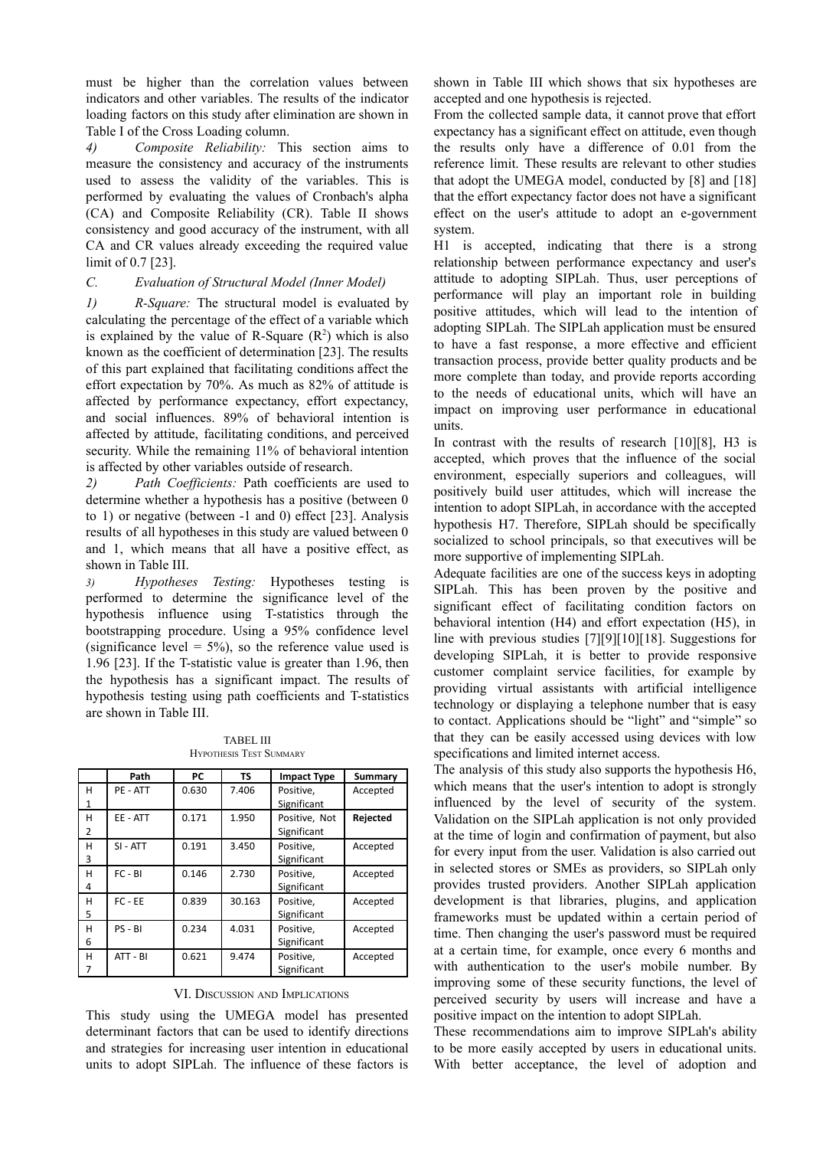must be higher than the correlation values between indicators and other variables. The results of the indicator loading factors on this study after elimination are shown in Table I of the Cross Loading column.

*4) Composite Reliability:* This section aims to measure the consistency and accuracy of the instruments used to assess the validity of the variables. This is performed by evaluating the values of Cronbach's alpha (CA) and Composite Reliability (CR). Table II shows consistency and good accuracy of the instrument, with all CA and CR values already exceeding the required value limit of 0.7 [23].

# *C. Evaluation of Structural Model (Inner Model)*

*1) R-Square:* The structural model is evaluated by calculating the percentage of the effect of a variable which is explained by the value of R-Square  $(R^2)$  which is also known as the coefficient of determination [23]. The results of this part explained that facilitating conditions affect the effort expectation by 70%. As much as 82% of attitude is affected by performance expectancy, effort expectancy, and social influences. 89% of behavioral intention is affected by attitude, facilitating conditions, and perceived security. While the remaining 11% of behavioral intention is affected by other variables outside of research.

2) *Path Coefficients:* Path coefficients are used to determine whether a hypothesis has a positive (between 0 to 1) or negative (between -1 and 0) effect [23]. Analysis results of all hypotheses in this study are valued between 0 and 1, which means that all have a positive effect, as shown in Table III.

*3) Hypotheses Testing:* Hypotheses testing is performed to determine the significance level of the hypothesis influence using T-statistics through the bootstrapping procedure. Using a 95% confidence level (significance level  $= 5\%$ ), so the reference value used is 1.96 [23]. If the T-statistic value is greater than 1.96, then the hypothesis has a significant impact. The results of hypothesis testing using path coefficients and T-statistics are shown in Table III.

TABEL III HYPOTHESIS TEST SUMMARY

|   | Path       | <b>PC</b> | <b>TS</b> | <b>Impact Type</b> | Summary  |
|---|------------|-----------|-----------|--------------------|----------|
| н | PE - ATT   | 0.630     | 7.406     | Positive.          | Accepted |
| 1 |            |           |           | Significant        |          |
| н | EE - ATT   | 0.171     | 1.950     | Positive. Not      | Rejected |
| 2 |            |           |           | Significant        |          |
| н | $SI - ATT$ | 0.191     | 3.450     | Positive,          | Accepted |
| 3 |            |           |           | Significant        |          |
| н | $FC - BI$  | 0.146     | 2.730     | Positive,          | Accepted |
| 4 |            |           |           | Significant        |          |
| н | $FC - EE$  | 0.839     | 30.163    | Positive.          | Accepted |
| 5 |            |           |           | Significant        |          |
| н | PS - BI    | 0.234     | 4.031     | Positive.          | Accepted |
| 6 |            |           |           | Significant        |          |
| н | ATT - BI   | 0.621     | 9.474     | Positive.          | Accepted |
| 7 |            |           |           | Significant        |          |

VI. DISCUSSION AND IMPLICATIONS

This study using the UMEGA model has presented determinant factors that can be used to identify directions and strategies for increasing user intention in educational units to adopt SIPLah. The influence of these factors is

shown in Table III which shows that six hypotheses are accepted and one hypothesis is rejected.

From the collected sample data, it cannot prove that effort expectancy has a significant effect on attitude, even though the results only have a difference of 0.01 from the reference limit. These results are relevant to other studies that adopt the UMEGA model, conducted by [8] and [18] that the effort expectancy factor does not have a significant effect on the user's attitude to adopt an e-government system.

H1 is accepted, indicating that there is a strong relationship between performance expectancy and user's attitude to adopting SIPLah. Thus, user perceptions of performance will play an important role in building positive attitudes, which will lead to the intention of adopting SIPLah. The SIPLah application must be ensured to have a fast response, a more effective and efficient transaction process, provide better quality products and be more complete than today, and provide reports according to the needs of educational units, which will have an impact on improving user performance in educational units.

In contrast with the results of research [10][8], H3 is accepted, which proves that the influence of the social environment, especially superiors and colleagues, will positively build user attitudes, which will increase the intention to adopt SIPLah, in accordance with the accepted hypothesis H7. Therefore, SIPLah should be specifically socialized to school principals, so that executives will be more supportive of implementing SIPLah.

Adequate facilities are one of the success keys in adopting SIPLah. This has been proven by the positive and significant effect of facilitating condition factors on behavioral intention (H4) and effort expectation (H5), in line with previous studies [7][9][10][18]. Suggestions for developing SIPLah, it is better to provide responsive customer complaint service facilities, for example by providing virtual assistants with artificial intelligence technology or displaying a telephone number that is easy to contact. Applications should be "light" and "simple" so that they can be easily accessed using devices with low specifications and limited internet access.

The analysis of this study also supports the hypothesis H6, which means that the user's intention to adopt is strongly influenced by the level of security of the system. Validation on the SIPLah application is not only provided at the time of login and confirmation of payment, but also for every input from the user. Validation is also carried out in selected stores or SMEs as providers, so SIPLah only provides trusted providers. Another SIPLah application development is that libraries, plugins, and application frameworks must be updated within a certain period of time. Then changing the user's password must be required at a certain time, for example, once every 6 months and with authentication to the user's mobile number. By improving some of these security functions, the level of perceived security by users will increase and have a positive impact on the intention to adopt SIPLah.

These recommendations aim to improve SIPLah's ability to be more easily accepted by users in educational units. With better acceptance, the level of adoption and